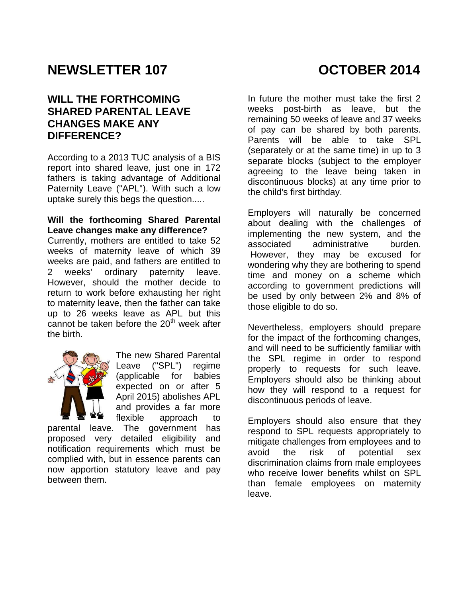# **NEWSLETTER 107 COLLOBER 2014**

#### **WILL THE FORTHCOMING SHARED PARENTAL LEAVE CHANGES MAKE ANY DIFFERENCE?**

According to a 2013 TUC analysis of a BIS report into shared leave, just one in 172 fathers is taking advantage of Additional Paternity Leave ("APL"). With such a low uptake surely this begs the question.....

#### **Will the forthcoming Shared Parental Leave changes make any difference?**

Currently, mothers are entitled to take 52 weeks of maternity leave of which 39 weeks are paid, and fathers are entitled to 2 weeks' ordinary paternity leave. However, should the mother decide to return to work before exhausting her right to maternity leave, then the father can take up to 26 weeks leave as APL but this cannot be taken before the  $20<sup>th</sup>$  week after the birth.



The new Shared Parental Leave ("SPL") regime (applicable for babies expected on or after 5 April 2015) abolishes APL and provides a far more flexible approach to

parental leave. The government has proposed very detailed eligibility and notification requirements which must be complied with, but in essence parents can now apportion statutory leave and pay between them.

In future the mother must take the first 2 weeks post-birth as leave, but the remaining 50 weeks of leave and 37 weeks of pay can be shared by both parents. Parents will be able to take SPL (separately or at the same time) in up to 3 separate blocks (subject to the employer agreeing to the leave being taken in discontinuous blocks) at any time prior to the child's first birthday.

Employers will naturally be concerned about dealing with the challenges of implementing the new system, and the associated administrative burden. However, they may be excused for wondering why they are bothering to spend time and money on a scheme which according to government predictions will be used by only between 2% and 8% of those eligible to do so.

Nevertheless, employers should prepare for the impact of the forthcoming changes, and will need to be sufficiently familiar with the SPL regime in order to respond properly to requests for such leave. Employers should also be thinking about how they will respond to a request for discontinuous periods of leave.

Employers should also ensure that they respond to SPL requests appropriately to mitigate challenges from employees and to avoid the risk of potential sex discrimination claims from male employees who receive lower benefits whilst on SPL than female employees on maternity leave.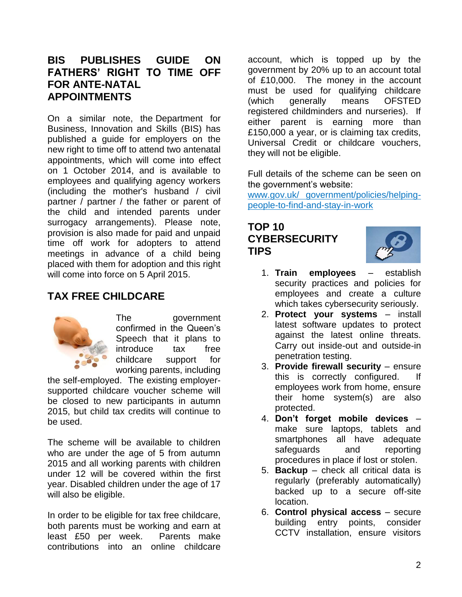#### **BIS PUBLISHES GUIDE ON FATHERS' RIGHT TO TIME OFF FOR ANTE-NATAL APPOINTMENTS**

On a similar note, the Department for Business, Innovation and Skills (BIS) has published a guide for employers on the new right to time off to attend two antenatal appointments, which will come into effect on 1 October 2014, and is available to employees and qualifying agency workers (including the mother's husband / civil partner / partner / the father or parent of the child and intended parents under surrogacy arrangements). Please note, provision is also made for paid and unpaid time off work for adopters to attend meetings in advance of a child being placed with them for adoption and this right will come into force on 5 April 2015.

### **TAX FREE CHILDCARE**



The government confirmed in the Queen's Speech that it plans to introduce tax free childcare support for working parents, including

the self-employed. The existing employersupported childcare voucher scheme will be closed to new participants in autumn 2015, but child tax credits will continue to be used.

The scheme will be available to children who are under the age of 5 from autumn 2015 and all working parents with children under 12 will be covered within the first year. Disabled children under the age of 17 will also be eligible.

In order to be eligible for tax free childcare, both parents must be working and earn at least £50 per week. Parents make contributions into an online childcare

account, which is topped up by the government by 20% up to an account total of £10,000. The money in the account must be used for qualifying childcare (which generally means OFSTED registered childminders and nurseries). If either parent is earning more than £150,000 a year, or is claiming tax credits, Universal Credit or childcare vouchers, they will not be eligible.

Full details of the scheme can be seen on the government's website:

www.gov.uk/ government/policies/helpingpeople-to-find-and-stay-in-work

#### **TOP 10 CYBERSECURITY TIPS**



- 1. **Train employees** establish security practices and policies for employees and create a culture which takes cybersecurity seriously.
- 2. **Protect your systems** install latest software updates to protect against the latest online threats. Carry out inside-out and outside-in penetration testing.
- 3. **Provide firewall security** ensure this is correctly configured. employees work from home, ensure their home system(s) are also protected.
- 4. **Don't forget mobile devices** make sure laptops, tablets and smartphones all have adequate safeguards and reporting procedures in place if lost or stolen.
- 5. **Backup** check all critical data is regularly (preferably automatically) backed up to a secure off-site location.
- 6. **Control physical access** secure building entry points, consider CCTV installation, ensure visitors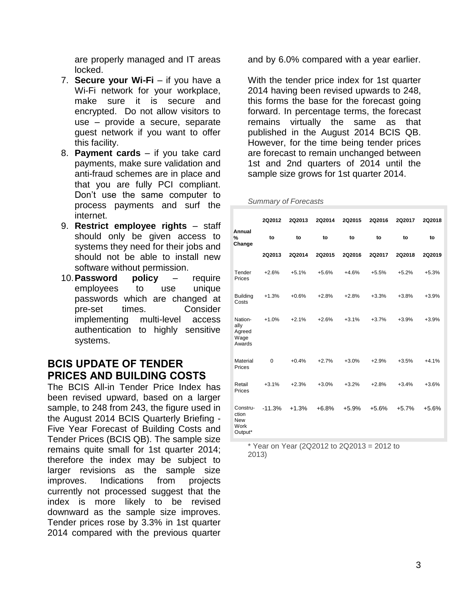are properly managed and IT areas locked.

- 7. **Secure your Wi-Fi** if you have a Wi-Fi network for your workplace, make sure it is secure and encrypted. Do not allow visitors to use – provide a secure, separate guest network if you want to offer this facility.
- 8. **Payment cards** if you take card payments, make sure validation and anti-fraud schemes are in place and that you are fully PCI compliant. Don't use the same computer to process payments and surf the internet.
- 9. **Restrict employee rights** staff should only be given access to systems they need for their jobs and should not be able to install new software without permission.
- 10.**Password policy** require employees to use unique passwords which are changed at pre-set times. Consider implementing multi-level access authentication to highly sensitive systems.

#### **BCIS UPDATE OF TENDER PRICES AND BUILDING COSTS**

The BCIS All-in Tender Price Index has been revised upward, based on a larger sample, to 248 from 243, the figure used in the August 2014 BCIS Quarterly Briefing - Five Year Forecast of Building Costs and Tender Prices (BCIS QB). The sample size remains quite small for 1st quarter 2014; therefore the index may be subject to larger revisions as the sample size improves. Indications from projects currently not processed suggest that the index is more likely to be revised downward as the sample size improves. Tender prices rose by 3.3% in 1st quarter 2014 compared with the previous quarter and by 6.0% compared with a year earlier.

With the tender price index for 1st quarter 2014 having been revised upwards to 248, this forms the base for the forecast going forward. In percentage terms, the forecast remains virtually the same as that published in the August 2014 BCIS QB. However, for the time being tender prices are forecast to remain unchanged between 1st and 2nd quarters of 2014 until the sample size grows for 1st quarter 2014.

*Summary of Forecasts*

|                                                    | 2Q2012      | <b>2Q2013</b> | 2Q2014  | 2Q2015  | 2Q2016  | 2Q2017  | 2Q2018  |  |
|----------------------------------------------------|-------------|---------------|---------|---------|---------|---------|---------|--|
| Annual<br>%<br>Change                              | to          | to            | to      | to      | to      | to      | to      |  |
|                                                    | 2Q2013      | 2Q2014        | 2Q2015  | 2Q2016  | 2Q2017  | 2Q2018  | 2Q2019  |  |
| Tender<br>Prices                                   | $+2.6%$     | $+5.1%$       | $+5.6%$ | $+4.6%$ | $+5.5%$ | $+5.2%$ | $+5.3%$ |  |
| <b>Building</b><br>Costs                           | $+1.3%$     | $+0.6%$       | $+2.8%$ | $+2.8%$ | $+3.3%$ | $+3.8%$ | $+3.9%$ |  |
| Nation-<br>ally<br>Agreed<br>Wage<br>Awards        | $+1.0%$     | $+2.1%$       | $+2.6%$ | $+3.1%$ | $+3.7%$ | $+3.9%$ | $+3.9%$ |  |
| Material<br>Prices                                 | $\mathbf 0$ | $+0.4%$       | $+2.7%$ | $+3.0%$ | $+2.9%$ | $+3.5%$ | $+4.1%$ |  |
| Retail<br>Prices                                   | $+3.1%$     | $+2.3%$       | $+3.0%$ | $+3.2%$ | $+2.8%$ | $+3.4%$ | $+3.6%$ |  |
| Constru-<br>ction<br><b>New</b><br>Work<br>Output* | $-11.3%$    | $+1.3%$       | $+6.8%$ | $+5.9%$ | $+5.6%$ | $+5.7%$ | $+5.6%$ |  |

 $*$  Year on Year (2Q2012 to 2Q2013 = 2012 to 2013)